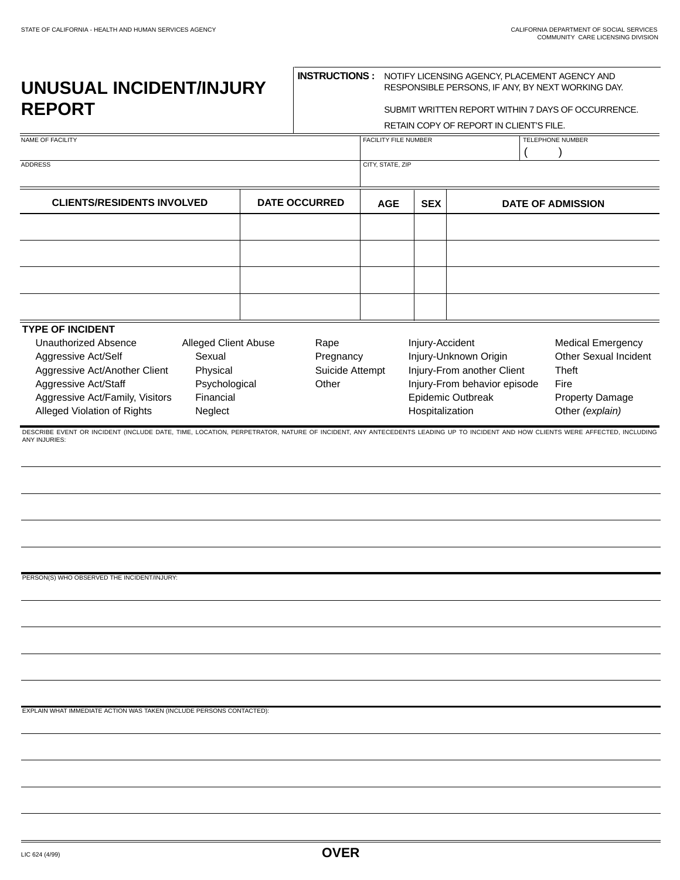## **UNUSUAL INCIDENT/INJURY REPORT**

## **INSTRUCTIONS :** NOTIFY LICENSING AGENCY, PLACEMENT AGENCY AND

|               | RESPONSIBLE PERSONS, IF ANY, BY NEXT WORKING DAY.<br>SUBMIT WRITTEN REPORT WITHIN 7 DAYS OF OCCURRENCE.<br>RETAIN COPY OF REPORT IN CLIENT'S FILE. |                              |                  |                                                                                                                                                                                                                                                                                                                                                         |  |
|---------------|----------------------------------------------------------------------------------------------------------------------------------------------------|------------------------------|------------------|---------------------------------------------------------------------------------------------------------------------------------------------------------------------------------------------------------------------------------------------------------------------------------------------------------------------------------------------------------|--|
|               | FACILITY FILE NUMBER                                                                                                                               |                              |                  | TELEPHONE NUMBER                                                                                                                                                                                                                                                                                                                                        |  |
|               |                                                                                                                                                    |                              |                  |                                                                                                                                                                                                                                                                                                                                                         |  |
|               | <b>AGE</b>                                                                                                                                         | <b>SEX</b>                   |                  | <b>DATE OF ADMISSION</b>                                                                                                                                                                                                                                                                                                                                |  |
| Rape<br>Other |                                                                                                                                                    |                              |                  | <b>Medical Emergency</b><br>Other Sexual Incident<br><b>Theft</b><br>Fire<br><b>Property Damage</b><br>Other (explain)                                                                                                                                                                                                                                  |  |
|               |                                                                                                                                                    |                              |                  |                                                                                                                                                                                                                                                                                                                                                         |  |
|               | <b>DATE OCCURRED</b><br><b>Alleged Client Abuse</b>                                                                                                | Pregnancy<br>Suicide Attempt | CITY, STATE, ZIP | UNUSUAL INCIDENT/INJURY<br>Injury-Accident<br>Injury-Unknown Origin<br>Injury-From another Client<br>Injury-From behavior episode<br>Epidemic Outbreak<br>Hospitalization<br>DESCRIBE EVENT OR INCIDENT (INCLUDE DATE, TIME, LOCATION, PERPETRATOR, NATURE OF INCIDENT, ANY ANTECEDENTS LEADING UP TO INCIDENT AND HOW CLIENTS WERE AFFECTED, INCLUDING |  |

EXPLAIN WHAT IMMEDIATE ACTION WAS TAKEN (INCLUDE PERSONS CONTACTED):